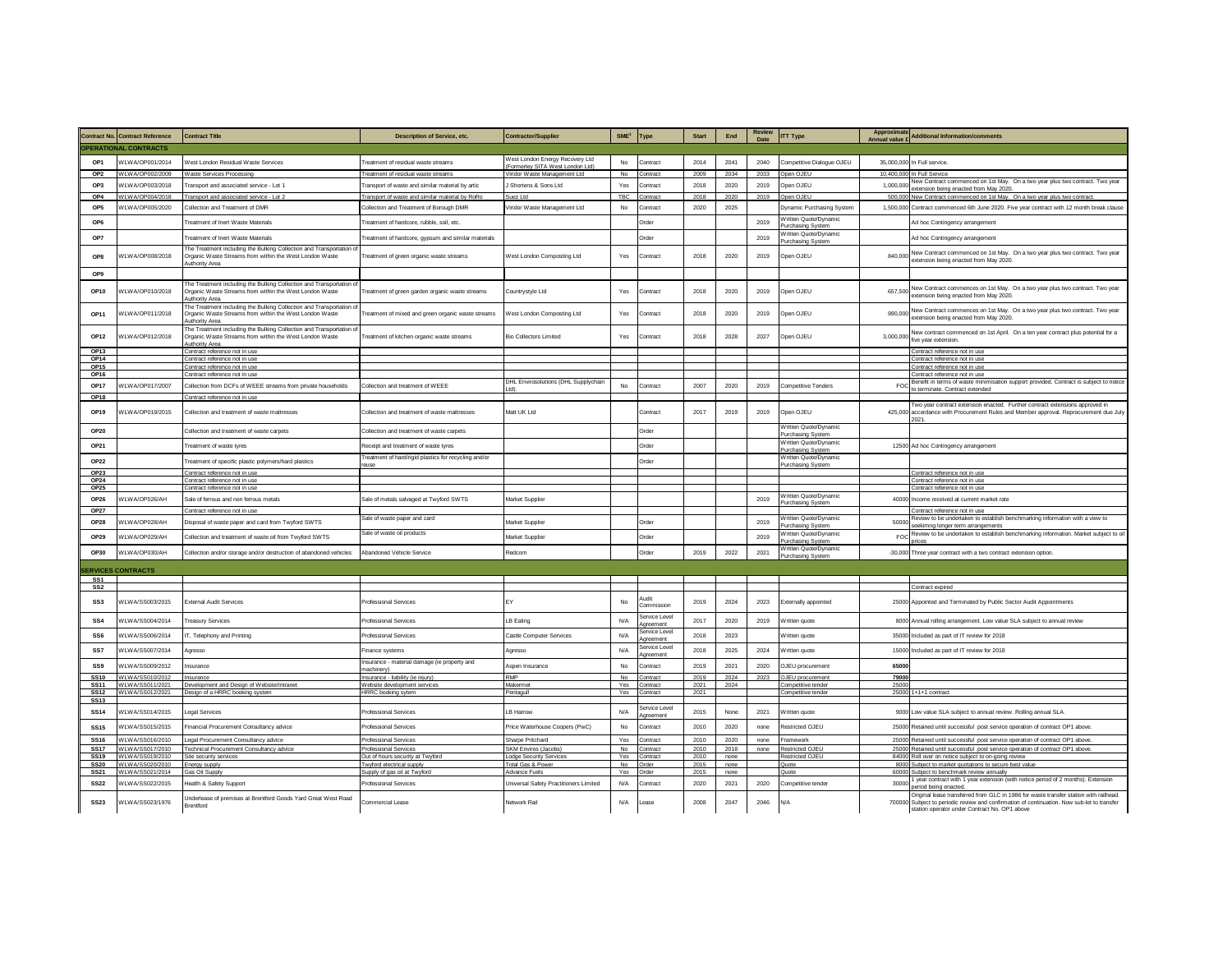|                            |                                        |                                                                                                                                                   |                                                            |                                                                    |                         |                                 |              |              | <b>Review</b> |                                             | Approximate           |                                                                                                                                                                                                                                       |
|----------------------------|----------------------------------------|---------------------------------------------------------------------------------------------------------------------------------------------------|------------------------------------------------------------|--------------------------------------------------------------------|-------------------------|---------------------------------|--------------|--------------|---------------|---------------------------------------------|-----------------------|---------------------------------------------------------------------------------------------------------------------------------------------------------------------------------------------------------------------------------------|
|                            | <b>Contract No. Contract Reference</b> | <b>Contract Title</b>                                                                                                                             | <b>Description of Service, etc.</b>                        | <b>Contractor/Supplier</b>                                         | SME <sup>1</sup>        | Type                            | <b>Start</b> | End          | Date          | <b>ITT Type</b>                             | <b>Annual value £</b> | dditional Information/comments                                                                                                                                                                                                        |
|                            | <b>OPERATIONAL CONTRACTS</b>           |                                                                                                                                                   |                                                            |                                                                    |                         |                                 |              |              |               |                                             |                       |                                                                                                                                                                                                                                       |
| OP <sub>1</sub>            | WI WA/OP001/2014                       | West London Residual Waste Services                                                                                                               | reatment of residual waste streams                         | West London Energy Recovery Ltd<br>Formerley SITA West London Ltd) | No                      | Contract                        | 2014         | 2041         | 2040          | Competitive Dialogue OJEU                   |                       | 35,000,000 In Full service.                                                                                                                                                                                                           |
| OP <sub>2</sub>            | WLWA/OP002/2009                        | Waste Services Processing                                                                                                                         | Treatment of residual waste streams                        | Viridor Waste Management Ltd                                       | No                      | Contract                        | 2009         | 2034         | 2033          | Open OJEU                                   | 10,400,000            | n Full Service                                                                                                                                                                                                                        |
| OP3                        | WLWA/OP003/2018                        | Transport and associated service - Lot 1                                                                                                          | ransport of waste and similar material by artic            | J Shortens & Sons Ltd                                              | Yes                     | Contract                        | 2018         | 2020         | 2019          | <b>Dpen OJEU</b>                            | 1.000.000             | lew Contract commenced on 1st May. On a two year plus two contract. Two year<br>ension being enacted from May 2020                                                                                                                    |
| OP4                        | WI WA/OP004/2018                       | Transport and associated service - Lot 2                                                                                                          | Transport of waste and similar material by RoRo            | Suez Ltd                                                           | TBC                     | ontract                         | 2018         | 2020         | 2019          | Open OJEU                                   | 500,000               | lew Contract commenced on 1st May. On a two year plus two contract.                                                                                                                                                                   |
| OP <sub>5</sub>            | VLWA/OP005/2020                        | Collection and Treatment of DMR                                                                                                                   | Collection and Treatment of Borough DMF                    | Viridor Waste Management Ltd                                       | No                      | contract                        | 2020         | 2025         |               | Dynamic Purchasing System                   |                       | 1,500,000 Contract commenced 6th June 2020. Five year contract with 12 month break clause                                                                                                                                             |
| OP6                        |                                        | reatment of Inert Waste Materials                                                                                                                 | reatment of hardcore, rubble, soil, etc.                   |                                                                    |                         | <b>Order</b>                    |              |              | 2019          | Written Quote/Dynamic                       |                       | Ad hoc Contingency arrangement                                                                                                                                                                                                        |
|                            |                                        |                                                                                                                                                   |                                                            |                                                                    |                         |                                 |              |              |               | Purchasing System<br>V ritten Quote/Dynamic |                       |                                                                                                                                                                                                                                       |
| OP7                        |                                        | reatment of Inert Waste Materials                                                                                                                 | reatment of hardcore, gypsum and similar materials         |                                                                    |                         | <b>Order</b>                    |              |              | 2019          | Purchasing System                           |                       | Ad hoc Contingency arrangement                                                                                                                                                                                                        |
| OP8                        | VLWA/OP008/2018                        | The Treatment including the Bulking Collection and Transportation of<br>Organic Waste Streams from within the West London Waste<br>uthority Area  | reatment of green organic waste streams                    | West London Composting Ltd                                         | Yes                     | Contract                        | 2018         | 2020         | 2019          | Open OJEU                                   | 840,000               | New Contract commenced on 1st May. On a two year plus two contract. Two year<br>extension being enacted from May 2020.                                                                                                                |
| OP <sub>9</sub>            |                                        |                                                                                                                                                   |                                                            |                                                                    |                         |                                 |              |              |               |                                             |                       |                                                                                                                                                                                                                                       |
| OP10                       | VLWA/OP010/2018                        | The Treatment including the Bulking Collection and Transportation of<br>Organic Waste Streams from within the West London Waste<br>Authority Area | reatment of green garden organic waste streams             | Countrystyle Ltd                                                   | Yes                     | Contract                        | 2018         | 2020         | 2019          | Open OJEU                                   | 657,500               | Vew Contract commences on 1st May. On a two year plus two contract. Two year<br>xtension being enacted from May 2020.                                                                                                                 |
| OP11                       | VLWA/OP011/2018                        | The Treatment including the Bulking Collection and Transportation of<br>Organic Waste Streams from within the West London Waste<br>uthority Area  | reatment of mixed and green organic waste streams          | West London Composting Ltd                                         | Yes                     | Contract                        | 2018         | 2020         | 2019          | Open OJEU                                   | 990,000               | lew Contract commences on 1st May. On a two year plus two contract. Two year<br>extension being enacted from May 2020.                                                                                                                |
| OP12                       | VLWA/OP012/2018                        | The Treatment including the Bulking Collection and Transportation of<br>Organic Waste Streams from within the West London Waste<br>uthority Area  | reatment of kitchen organic waste streams                  | <b>Bio Collectors Limited</b>                                      | Yes                     | Contract                        | 2018         | 2028         | 2027          | Open OJEU                                   | 3.000.000             | lew contract commenced on 1st April. On a ten year contract plus potential for a<br>ve year extension.                                                                                                                                |
| OP13                       |                                        | Contract reference not in use                                                                                                                     |                                                            |                                                                    |                         |                                 |              |              |               |                                             |                       | contract reference not in use                                                                                                                                                                                                         |
| OP14<br>OP <sub>15</sub>   |                                        | Contract reference not in use<br>Contract reference not in use                                                                                    |                                                            |                                                                    |                         |                                 |              |              |               |                                             |                       | Contract reference not in use<br>ontract reference not in use                                                                                                                                                                         |
| OP16                       |                                        | Contract reference not in use                                                                                                                     |                                                            |                                                                    |                         |                                 |              |              |               |                                             |                       | ontract reference not in use                                                                                                                                                                                                          |
| <b>OP17</b>                | VLWA/OP017/2007                        | Collection from DCFs of WEEE streams from private households                                                                                      | Collection and treatment of WEEE                           | DHL Envirosolutions (DHL Supplychain                               | No                      | ontract                         | 2007         | 2020         | 2019          | Competitive Tenders                         | <b>FOC</b>            | lenefit in terms of waste minimisation support provided. Contract is subject to notice                                                                                                                                                |
| OP18                       |                                        | Contract reference not in use                                                                                                                     |                                                            |                                                                    |                         |                                 |              |              |               |                                             |                       | terminate. Contract extended                                                                                                                                                                                                          |
| OP <sub>19</sub>           | VLWA/OP019/2015                        | Collection and treatment of waste mattresses                                                                                                      | Collection and treatment of waste mattresses               | Matt UK Ltd                                                        |                         | <b>Contract</b>                 | 2017         | 2019         | 2019          | Open OJEU                                   |                       | wo year contract extension enacted. Further contract extensions approved in<br>425,000 accordance with Procurement Rules and Member approval. Reprocurement due July<br>2021                                                          |
| OP20                       |                                        | Collection and treatment of waste carnets.                                                                                                        | Collection and treatment of waste carnets                  |                                                                    |                         | Order                           |              |              |               | Written Quote/Dynamic<br>Purchasing System  |                       |                                                                                                                                                                                                                                       |
| OP21                       |                                        | Treatment of waste tyres                                                                                                                          | Receipt and treatment of waste tyres                       |                                                                    |                         | <b>Inder</b>                    |              |              |               | Written Quote/Dynamic<br>Purchasing System  |                       | 12500 Ad hoc Contingency arrangement                                                                                                                                                                                                  |
| OP22                       |                                        | Treatment of specific plastic polymers/hard plastics                                                                                              | reatment of hard/rigid plastics for recycling and/or       |                                                                    |                         | <b>Order</b>                    |              |              |               | Written Quote/Dynamic                       |                       |                                                                                                                                                                                                                                       |
| <b>OP23</b>                |                                        | Contract reference not in us                                                                                                                      |                                                            |                                                                    |                         |                                 |              |              |               | <b>Purchasing Systen</b>                    |                       | Contract reference not in use                                                                                                                                                                                                         |
| OP24                       |                                        | Contract reference not in use                                                                                                                     |                                                            |                                                                    |                         |                                 |              |              |               |                                             |                       | Contract reference not in use                                                                                                                                                                                                         |
| <b>OP25</b>                |                                        | ntract reference not in use                                                                                                                       |                                                            |                                                                    |                         |                                 |              |              |               |                                             |                       | ontract reference not in us                                                                                                                                                                                                           |
| OP26                       | VLWA/OP026/AH                          | Sale of ferrous and non ferrous metals                                                                                                            | Sale of metals salvaged at Twyford SWTS                    | Market Supplie                                                     |                         |                                 |              |              | 2019          | Written Quote/Dynamic<br>Purchasing System  |                       | 40000 Income received at current market rate                                                                                                                                                                                          |
| OP27                       |                                        | Contract reference not in use                                                                                                                     |                                                            |                                                                    |                         |                                 |              |              |               |                                             |                       | ontract reference not in use                                                                                                                                                                                                          |
| <b>OP28</b>                | WLWA/OP028/AH                          | Disposal of waste paper and card from Twyford SWTS                                                                                                | Sale of waste paper and card                               | Market Supplier                                                    |                         | <b>Order</b>                    |              |              | 2019          | V ritten Quote/Dynamic<br>Purchasing System | 50000                 | eview to be undertaken to establish benchmarking information with a view to<br>eekimng longer term arrangements                                                                                                                       |
| OP29                       |                                        |                                                                                                                                                   | Sale of waste oil products                                 |                                                                    |                         |                                 |              |              | 2019          | Written Quote/Dynamic                       | <b>FOC</b>            | Review to be undertaken to establish benchmarking information. Market subject to oil                                                                                                                                                  |
|                            | WLWA/OP029/AH                          | Collection and treatment of waste oil from Twyford SWTS                                                                                           |                                                            | Market Supplier                                                    |                         | Order                           |              |              |               | <b>Purchasing System</b>                    |                       |                                                                                                                                                                                                                                       |
| OP30                       | VLWA/OP030/AH                          | Collection and/or storage and/or destruction of abandoned vehicles                                                                                | Abandoned Vehicle Service                                  | Redcorn                                                            |                         | <b>Order</b>                    | 2019         | 2022         | 2021          | Written Quote/Dynamic<br>Purchasing System  | $-30,000$             | hree year contract with a two contract extension option                                                                                                                                                                               |
|                            |                                        |                                                                                                                                                   |                                                            |                                                                    |                         |                                 |              |              |               |                                             |                       |                                                                                                                                                                                                                                       |
| SS <sub>1</sub>            | <b>SERVICES CONTRACTS</b>              |                                                                                                                                                   |                                                            |                                                                    |                         |                                 |              |              |               |                                             |                       |                                                                                                                                                                                                                                       |
| SS <sub>2</sub>            |                                        |                                                                                                                                                   |                                                            |                                                                    |                         |                                 |              |              |               |                                             |                       | Contract expired                                                                                                                                                                                                                      |
| SS <sub>3</sub>            | WLWA/SS003/2015                        | <b>External Audit Services</b>                                                                                                                    | <b>Trofessional Services</b>                               | EY                                                                 | No                      | tibuA<br>cmmission              | 2019         | 2024         | 2023          | Externally appointed                        |                       | 25000 Appointed and Terminated by Public Sector Audit Appointments                                                                                                                                                                    |
| SS <sub>4</sub>            | WLWA/SS004/2014                        | <b>Treasury Services</b>                                                                                                                          | <b>Trofessional Services</b>                               | LB Ealing                                                          | N/A                     | Service Level<br>greement       | 2017         | 2020         | 2019          | Written guote                               |                       | 8000 Annual rolling arrangement. Low value SLA subject to annual review                                                                                                                                                               |
| SS <sub>6</sub>            | WLWA/SS006/2014                        | IT, Telephony and Printing                                                                                                                        | <b>Professional Services</b>                               | Castle Computer Services                                           | N/A                     | ervice Level<br>rreement        | 2018         | 2023         |               | Written quote                               |                       | 35000 Included as part of IT review for 2018                                                                                                                                                                                          |
| SS7                        | VLWA/SS007/2014                        | <b>Agresso</b>                                                                                                                                    | inance systems                                             | Agresso                                                            | N/A                     | Service Level                   | 2018         | 2025         | 2024          | Written quote                               | 15000                 | Included as part of IT review for 2018                                                                                                                                                                                                |
| SS <sub>9</sub>            | WI WA/SS009/2012                       | surance                                                                                                                                           | Insurance - material damage (ie property and<br>machinery) | Aspen Insurance                                                    | No                      | contract                        | 2019         | 2021         | 2020          | OJEU procurement                            | 65000                 |                                                                                                                                                                                                                                       |
| <b>SS10</b>                | WI WA/SS010/2012                       | surance                                                                                                                                           | Insurance - liability (ie injury)                          | RMP                                                                | No                      | contract                        | 2019         | 2024         | 2023          | OJEU procurement                            | 7900                  |                                                                                                                                                                                                                                       |
| <b>SS11</b><br><b>SS12</b> | WLWA/SS011/2021<br>WLWA/SS012/2021     | Development and Design of Website/Intranet<br>Design of a HRRC booking system                                                                     | Website development services<br><b>HRRC</b> booking sytem  | Makerme<br>Pentagull                                               | Yes<br>Yes              | ontract<br>ontract              | 2021<br>2021 | 2024         |               | Competitive tender<br>Competitive tender    | 2500<br>25000         | +1+1 contract                                                                                                                                                                                                                         |
| SS <sub>13</sub>           |                                        |                                                                                                                                                   |                                                            |                                                                    |                         |                                 |              |              |               |                                             |                       |                                                                                                                                                                                                                                       |
| <b>SS14</b>                | WLWA/SS014/2015                        | egal Services                                                                                                                                     | Professional Services                                      | I B Harrow                                                         | N/A                     | Service Level<br><b>treemen</b> | 2015         | None         | 2021          | Written guote                               |                       | 9000 Low value SLA subject to annual review. Rolling annual SLA.                                                                                                                                                                      |
| <b>SS15</b>                | VLWA/SS015/2015                        | Financial Procurement Consultancy advice                                                                                                          | Professional Services                                      | Price Waterhouse Coopers (PwC)                                     | No                      | Contract                        | 2010         | 2020         | none          | Restricted OJEU                             |                       | 25000 Retained until successful post service operation of contract OP1 above.                                                                                                                                                         |
| SS <sub>16</sub>           | WI WA/SS016/2010                       | Legal Procurement Consultancy advice                                                                                                              | <b>Professional Services</b>                               | Sharpe Pritchard                                                   | Yes                     | Contract                        | 2010         | 2020         | none          | Framework                                   |                       | 25000 Retained until successful post service operation of contract OP1 above.                                                                                                                                                         |
| <b>SS17</b>                | WI WA/SS017/2010                       | Technical Procurement Consultancy advice                                                                                                          | <b>Professional Services</b>                               | SKM Enviros (Jacobs)                                               | N <sub>0</sub>          | Contract                        | 2010         | 2018         | none          | Restricted OJFU                             |                       | 25000 Retained until successful post service operation of contract OP1 above.                                                                                                                                                         |
| <b>SS19</b><br><b>SS20</b> | VLWA/SS019/2010<br>WI WA/SS020/2010    | Site security services<br>nerav suppl                                                                                                             | ut of hours security at Twyford<br>wvford electrical suppl | odge Security Service<br>Total Gas & Powe                          | Yes<br>No               | contract<br>Irder               | 2010<br>2015 | none<br>none |               | Restricted OJEU<br>Ounte                    | 84000<br>8000         | toll over on notice subject to on-going reviet<br>subject to market quotations to secure best value                                                                                                                                   |
| SS21                       | WLWA/SS021/2014                        | Gas Oil Supply                                                                                                                                    | Supply of gas oil at Twyford                               | Advance Fuels                                                      |                         | Yes Order                       | 2015         | none         |               | Quote                                       |                       | 60000 Subiect to benchmark review annually                                                                                                                                                                                            |
| <b>SS22</b>                | WI WA/SS022/2015                       | lealth & Safety Support                                                                                                                           | Infessional Services                                       | Universal Safety Practitioners Limited                             | N/A                     | Contract                        | 2020         | 2021         | 2020          | Competitive tender                          | 30000                 | year contract with 1 year extension (with notice period of 2 months). Extension<br>eriod being enacted                                                                                                                                |
| <b>SS23</b>                | WLWA/SS023/1976                        | Jnderlease of premises at Brentford Goods Yard Great West Road<br>Brentford                                                                       | Commercial Lease                                           | Network Rail                                                       | $\mathsf{N}/\mathsf{A}$ | ease                            | 2008         | 2047         | 2046          | N/A                                         |                       | Original lease transferred from GLC in 1986 for waste transfer station with railhead.<br>700000 Subject to periodic review and confirmation of continuation. Now sub-let to transfer<br>station operator under Contract No. OP1 above |